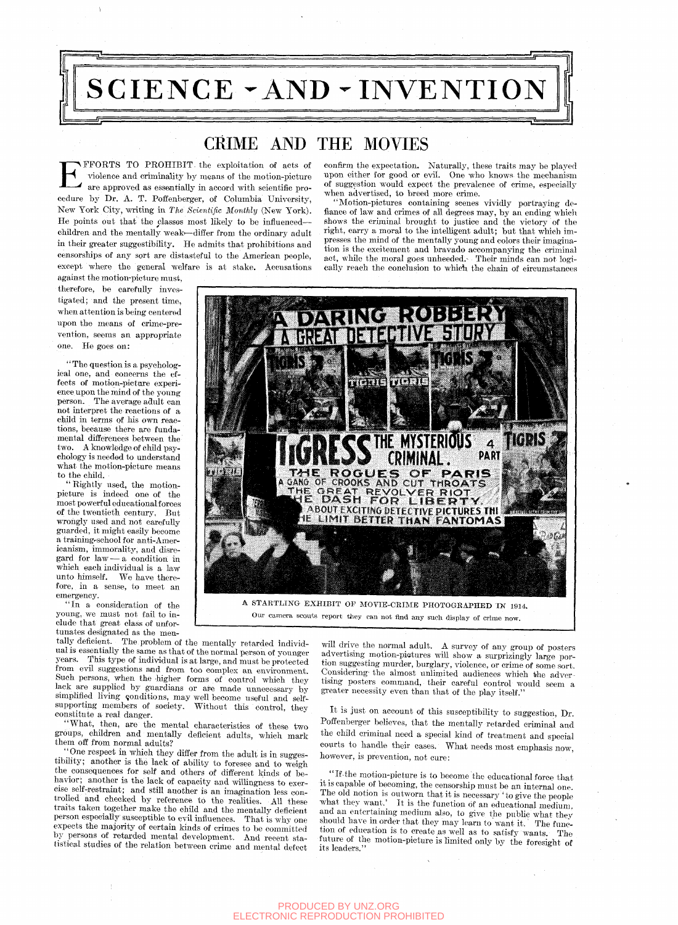

**EXTENTS TO PROHIBIT** the exploitation of acts of violence and criminality by means of the motion-picture are approved as essentially in accord with scientific procedure by Dr. A. T. Poffenberger, of Columbia University, FFORTS TO PROHIBIT, the exploitation of acts of violence and criminality by means of the motion-picture are approved as essantially in accord with scientific pro-New York City, writing in *The Scientific Monthly* (New York). He points out that the classes most likely to be influenced children and the mentally weak-differ from the ordinary adult in their greater suggestibility. He admits that prohibitions and censorships of any sort are distasteful to the American people, except where the general welfare is at stake. Accusations

against the motion-picture must, therefore, be carefully investigated; and the present time, when attention is being centered upon the means of crime-prevention, seems an appropriate one. He goes on:

'' The question is a psychological one, and concerns the effects of motion-picture experience upon the mind of the young person. The average adult can not interpret the reactions of a child in terms of his own reactions, because there are fundamental differences between the two. A knowledge of child psychology is needed to understand what the motion-picture means to the child.

" Rightly used, the motionpicture is indeed one of the most powerful educational forces of the twentieth century. But wrongly used and not carefully guarded, it might easily become a training-school for anti-Americanism, immorality, and disregard for law — a condition in which each individual is a law unto himself. We have therefore, in a sense, to meet an emergency.

"In a consideration of the young, we must not fail to include that great class of unfortunates designated as the men-

tally deficient. The problem of the mentally retarded individual is essentially the same as that of the normal person of younger years. This type of individual is at large, and must be protected from evil suggestions and from too complex an environment. Such persons, when the higher forms of control which they lack are supphed by guardians or are made unnecessary by simplified living conditions, may well become useful and selfsupporting members of society. Without this control, they constitute a real danger.

"What, then, are the mental characteristics of these two groups, children and mentally deficient adults, which mark them off from normal adults?

^ ''One respect in which they differ from the adult is in suggestibihty; another is the lack of ability to foresee and to weigh the consequences for self and others of different kinds of behavior; another is the lack of capacity and wiUingness to exercise self-restraint; and still another is an imagination less controlled and checked by reference to the realities. AH these traits taken together make the child and the mentally deficient person especiaUy susceptible to evil influences. That is why one expects the majority of certain kinds of crimes to be committed by persons of retarded mental development. And recent statistical studies of the relation between crime and mental defect

confirm the expectation. Naturally, these traits may be played upon either for good or evil. One who knows the mechanism of suggestion would expect the prevalence of crime, especially when advertised, to breed more crime.

"Motion-pictures containing scenes vividly portraying defiance of law and crimes of all degrees may, by an ending which shows the criminal brought to justice and the victory of the right, earry a moral to the intelligent adult; but that which impresses the mind of the mentally young and colors their imagination is the excitement and bravado accompanying the criminal act, while the moral goes unheeded. Their minds can not logically reach the conclusion to which the chain of circumstances



Our camera scouts report they can not find any such display of crime now.

will drive the normal adult. A survey of any group of posters advertising motion-pietures will show a surprizingly large portion suggesting murder, burglary, violence, or crime of some sort. Considering the almost unlimited audiences which the advertising posters command, their careful control would seem a greater necessity even than that of the play itself."

It is just on account of this susceptibihty to suggestion. Dr. Poffenberger believes, that the mentally retarded criminal and the child criminal need a special kind of treatment and special courts to handle their cases. What needs most emphasis now, however, is prevention, not cure:

*\_* " If the motion-picture is to become the educational force that it is capable of becoming, the censorship must be an internal one. The old notion is outworn that it is necessary ' to give the people what they want.' It is the function of an educational medium, and an entertaining medium also, to give the public what they should have in order that they may learn to'want it. The function of education is to create as well as to satisfy wants. The future of the motion-picture is limited onlv bv the foresight of its leaders."